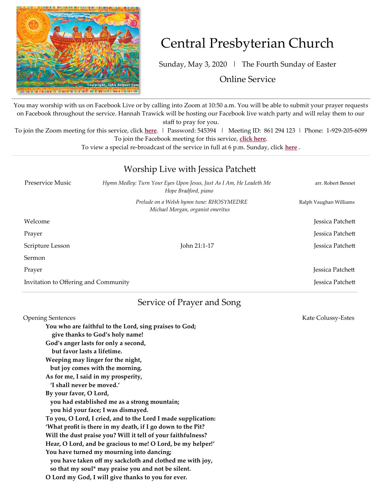

# Central Presbyterian Church

Sunday, May 3, 2020 | The Fourth Sunday of Easter

Online Service

You may worship with us on Facebook Live or by calling into Zoom at 10:50 a.m. You will be able to submit your prayer requests on Facebook throughout the service. Hannah Trawick will be hosting our Facebook live watch party and will relay them to our staff to pray for you.

To join the Zoom meeting for this service, click **[here](https://zoom.us/j/861294123?pwd=V1Z2SzM2bEZaaU9PdlI4clBSS0FBZz09)**. | Password: 545394 | Meeting ID: 861 294 123 | Phone: 1-929-205-6099 To join the Facebook meeting for this service, **[click here.](https://www.facebook.com/centralpresbyatlanta/)**

To view a special re-broadcast of the service in full at 6 p.m. Sunday, click **[here](http://www.cpcatlanta.org) .**

## Worship Live with Jessica Patchett

| Preservice Music                     | Hymn Medley: Turn Your Eyes Upon Jesus, Just As I Am, He Leadeth Me<br>Hope Bradford, piano | arr. Robert Bennet     |
|--------------------------------------|---------------------------------------------------------------------------------------------|------------------------|
|                                      | Prelude on a Welsh hymn tune: RHOSYMEDRE<br>Michael Morgan, organist emeritus               | Ralph Vaughan Williams |
| Welcome                              |                                                                                             | Jessica Patchett       |
| Prayer                               |                                                                                             | Jessica Patchett       |
| Scripture Lesson                     | John 21:1-17                                                                                | Jessica Patchett       |
| Sermon                               |                                                                                             |                        |
| Prayer                               |                                                                                             | Jessica Patchett       |
| Invitation to Offering and Community |                                                                                             | Jessica Patchett       |

## Service of Prayer and Song

| <b>Opening Sentences</b>                                      |  |
|---------------------------------------------------------------|--|
| You who are faithful to the Lord, sing praises to God;        |  |
| give thanks to God's holy name!                               |  |
| God's anger lasts for only a second,                          |  |
| but favor lasts a lifetime.                                   |  |
| Weeping may linger for the night,                             |  |
| but joy comes with the morning.                               |  |
| As for me, I said in my prosperity,                           |  |
| 'I shall never be moved.'                                     |  |
| By your favor, O Lord,                                        |  |
| you had established me as a strong mountain;                  |  |
| you hid your face; I was dismayed.                            |  |
| To you, O Lord, I cried, and to the Lord I made supplication: |  |
| 'What profit is there in my death, if I go down to the Pit?   |  |
| Will the dust praise you? Will it tell of your faithfulness?  |  |
| Hear, O Lord, and be gracious to me! O Lord, be my helper!'   |  |
| You have turned my mourning into dancing;                     |  |
| you have taken off my sackcloth and clothed me with joy,      |  |
| so that my soul* may praise you and not be silent.            |  |
| O Lord my God, I will give thanks to you for ever.            |  |
|                                                               |  |

Kate Colussy-Estes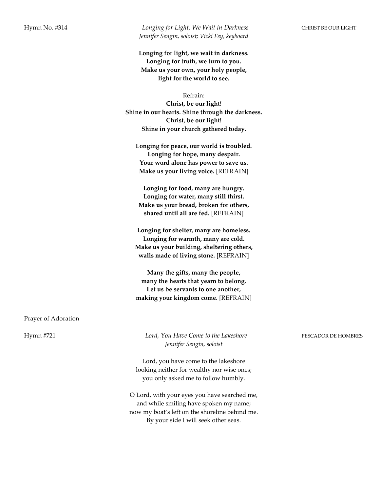#### Hymn No. #314 *Longing for Light, We Wait in Darkness* CHRIST BE OUR LIGHT *Jennifer Sengin, soloist; Vicki Fey, keyboard*

**Longing for light, we wait in darkness. Longing for truth, we turn to you. Make us your own, your holy people, light for the world to see.**

Refrain:

**Christ, be our light! Shine in our hearts. Shine through the darkness. Christ, be our light! Shine in your church gathered today.**

**Longing for peace, our world is troubled. Longing for hope, many despair. Your word alone has power to save us. Make us your living voice.** [REFRAIN]

**Longing for food, many are hungry. Longing for water, many still thirst. Make us your bread, broken for others, shared until all are fed.** [REFRAIN]

**Longing for shelter, many are homeless. Longing for warmth, many are cold. Make us your building, sheltering others, walls made of living stone.** [REFRAIN]

**Many the gifts, many the people, many the hearts that yearn to belong. Let us be servants to one another, making your kingdom come.** [REFRAIN]

#### Prayer of Adoration

Hymn #721 *Lord, You Have Come to the Lakeshore* PESCADOR DE HOMBRES *Jennifer Sengin, soloist*

> Lord, you have come to the lakeshore looking neither for wealthy nor wise ones; you only asked me to follow humbly.

O Lord, with your eyes you have searched me, and while smiling have spoken my name; now my boat's left on the shoreline behind me. By your side I will seek other seas.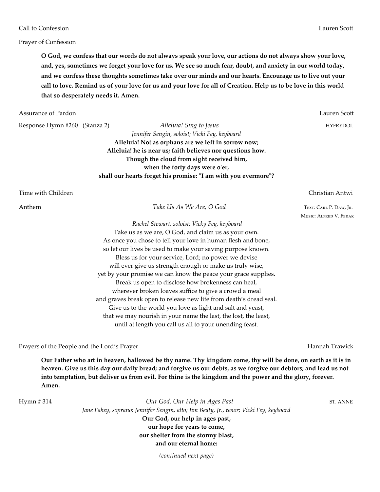Prayer of Confession

**O God, we confess that our words do not always speak your love, our actions do not always show your love, and, yes, sometimes we forget your love for us. We see so much fear, doubt, and anxiety in our world today, and we confess these thoughts sometimes take over our minds and our hearts. Encourage us to live out your call to love. Remind us of your love for us and your love for all of Creation. Help us to be love in this world that so desperately needs it. Amen.** 

Assurance of Pardon Lauren Scott

Response Hymn #260 (Stanza 2) *Alleluia! Sing to Jesus* HYFRYDOL

*Jennifer Sengin, soloist; Vicki Fey, keyboard* **Alleluia! Not as orphans are we left in sorrow now; Alleluia! he is near us; faith believes nor questions how. Though the cloud from sight received him, when the forty days were o'er, shall our hearts forget his promise: "I am with you evermore"?**

Time with Children Christian Antwi

Anthem **Take Us As We Are, O God** TEXT: CARL P. DAW, JR.

*Rachel Stewart, soloist; Vicky Fey, keyboard* Take us as we are, O God, and claim us as your own. As once you chose to tell your love in human flesh and bone, so let our lives be used to make your saving purpose known. Bless us for your service, Lord; no power we devise will ever give us strength enough or make us truly wise, yet by your promise we can know the peace your grace supplies. Break us open to disclose how brokenness can heal, wherever broken loaves suffice to give a crowd a meal and graves break open to release new life from death's dread seal. Give us to the world you love as light and salt and yeast, that we may nourish in your name the last, the lost, the least, until at length you call us all to your unending feast.

Prayers of the People and the Lord's Prayer Hannah Trawick and the Lord's Prayer Hannah Trawick

**Our Father who art in heaven, hallowed be thy name. Thy kingdom come, thy will be done, on earth as it is in heaven. Give us this day our daily bread; and forgive us our debts, as we forgive our debtors; and lead us not into temptation, but deliver us from evil. For thine is the kingdom and the power and the glory, forever. Amen.** 

Hymn # 314 *Our God, Our Help in Ages Past* ST. ANNE *Jane Fahey, soprano; Jennifer Sengin, alto; Jim Beaty, Jr., tenor; Vicki Fey, keyboard* **Our God, our help in ages past, our hope for years to come, our shelter from the stormy blast, and our eternal home:**

*(continued next page)*

Music: Alfred V. Fedak